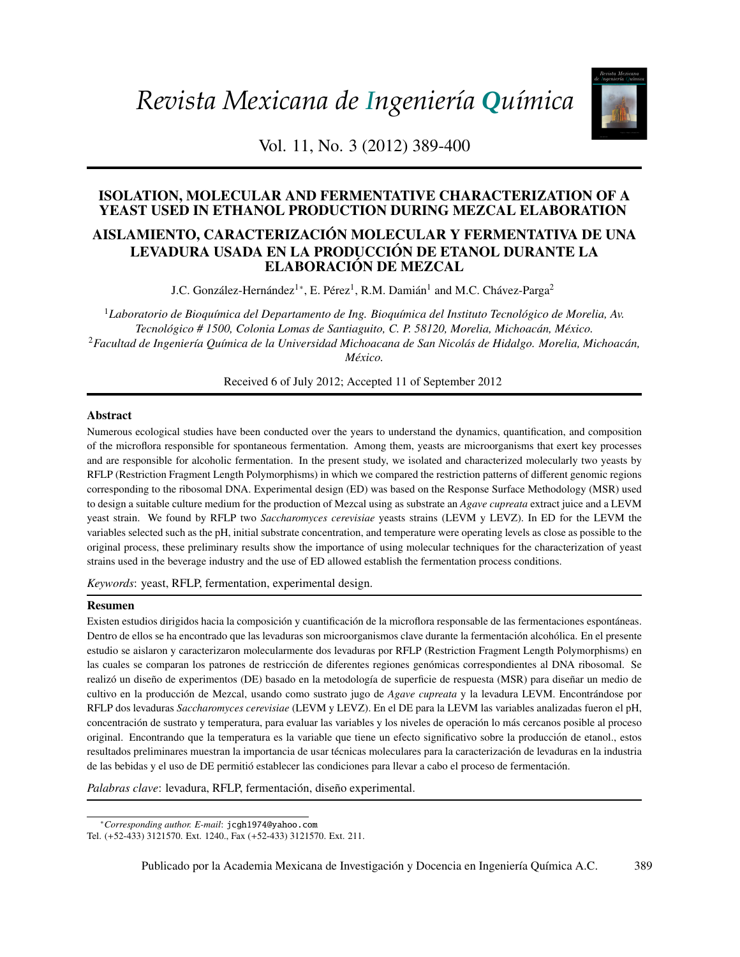*Revista Mexicana de Ingeniería Química*



Vol. 11, No. 3 (2012) 389-400

# ISOLATION, MOLECULAR AND FERMENTATIVE CHARACTERIZATION OF A YEAST USED IN ETHANOL PRODUCTION DURING MEZCAL ELABORATION

# AISLAMIENTO, CARACTERIZACIÓN MOLECULAR Y FERMENTATIVA DE UNA LEVADURA USADA EN LA PRODUCCIÓN DE ETANOL DURANTE LA ELABORACIÓN DE MEZCAL

J.C. González-Hernández<sup>1</sup>\*, E. Pérez<sup>1</sup>, R.M. Damián<sup>1</sup> and M.C. Chávez-Parga<sup>2</sup>

*Biotecnología / Biotechnology Tecnol´ogico # 1500, Colonia Lomas de Santiaguito, C. P. 58120, Morelia, Michoac ´an, M´exico.* <sup>2</sup>Facultad de Ingeniería Química de la Universidad Michoacana de San Nicolás de Hidalgo. Morelia, Michoacán, <sup>1</sup>Laboratorio de Bioquímica del Departamento de Ing. Bioquímica del Instituto Tecnológico de Morelia, Av. *M´exico.*

(Biodegradation modeling of sludge bioreactors of total petroleum hydrocarbons weathering in social petroleum h Received 6 of July 2012; Accepted 11 of September 2012

### Abstract

Numerous ecological studies have been conducted over the years to understand the dynamics, quantification, and composition and are responsible for alcoholic fermentation. In the present study, we isolated and characterized molecularly two yeasts by RFLP (Restriction Fragment Length Polymorphisms) in which we compared the restriction patterns of different genomic regions to design a suitable culture medium for the production of Mezcal using as substrate an *Agave cupreata* extract juice and a LEVM yeast strain. We found by RFLP two *Saccharomyces cerevisiae* yeasts strains (LEVM y LEVZ). In ED for the LEVM the *Espinosa*  variables selected such as the pH, initial substrate concentration, and temperature were operating levels as close as possible to the strains used in the beverage industry and the use of ED allowed establish the fermentation process conditions. of the microflora responsible for spontaneous fermentation. Among them, yeasts are microorganisms that exert key processes corresponding to the ribosomal DNA. Experimental design (ED) was based on the Response Surface Methodology (MSR) used original process, these preliminary results show the importance of using molecular techniques for the characterization of yeast

Keywords: yeast, RFLP, fermentation, experimental design.

#### (Optimización estadística de la fermentación etanólica de *Saccharomyces cerevisiae* en presencia de Resumen

Existen estudios dirigidos hacia la composición y cuantificación de la microflora responsable de las fermentaciones espontáneas. estudio se aislaron y caracterizaron molecularmente dos levaduras por RFLP (Restriction Fragment Length Polymorphisms) en realizó un diseño de experimentos (DE) basado en la metodología de superficie de respuesta (MSR) para diseñar un medio de RFLP dos levaduras Saccharomyces cerevisiae (LEVM y LEVZ). En el DE para la LEVM las variables analizadas fueron el pH, concentración de sustrato y temperatura, para evaluar las variables y los niveles de operación lo más cercanos posible al proceso original. Encontrando que la temperatura es la variable que tiene un efecto significativo sobre la producción de etanol., estos de las bebidas y el uso de DE permitió establecer las condiciones para llevar a cabo el proceso de fermentación. Dentro de ellos se ha encontrado que las levaduras son microorganismos clave durante la fermentación alcohólica. En el presente las cuales se comparan los patrones de restricción de diferentes regiones genómicas correspondientes al DNA ribosomal. Se cultivo en la producción de Mezcal, usando como sustrato jugo de *Agave cupreata* y la levadura LEVM. Encontrándose por resultados preliminares muestran la importancia de usar técnicas moleculares para la caracterización de levaduras en la industria

*Palabras clave*: levadura, RFLP, fermentación, diseño experimental.

Publicado por la Academia Mexicana de Investigación y Docencia en Ingeniería Química A.C. 389

<span id="page-0-0"></span><sup>∗</sup>*Corresponding author. E-mail*: jcgh1974@yahoo.com

Tel. (+52-433) 3121570. Ext. 1240., Fax (+52-433) 3121570. Ext. 211.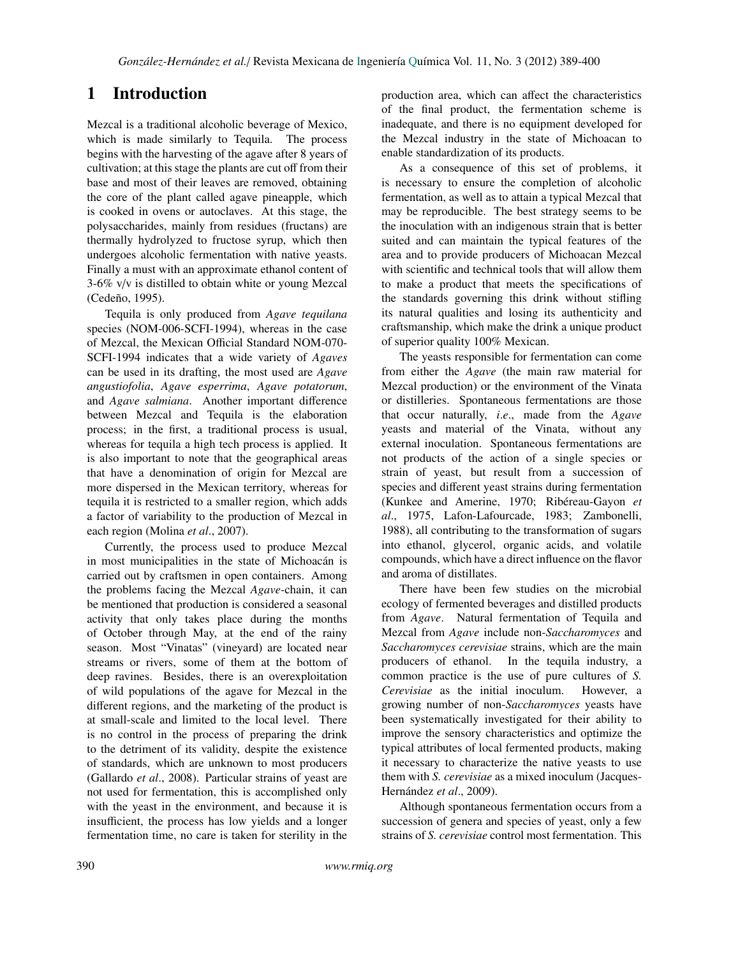# 1 Introduction

Mezcal is a traditional alcoholic beverage of Mexico, which is made similarly to Tequila. The process begins with the harvesting of the agave after 8 years of cultivation; at this stage the plants are cut off from their base and most of their leaves are removed, obtaining the core of the plant called agave pineapple, which is cooked in ovens or autoclaves. At this stage, the polysaccharides, mainly from residues (fructans) are thermally hydrolyzed to fructose syrup, which then undergoes alcoholic fermentation with native yeasts. Finally a must with an approximate ethanol content of 3-6% v/v is distilled to obtain white or young Mezcal (Cedeño, 1995).

Tequila is only produced from *Agave tequilana* species (NOM-006-SCFI-1994), whereas in the case of Mezcal, the Mexican Official Standard NOM-070- SCFI-1994 indicates that a wide variety of *Agaves* can be used in its drafting, the most used are *Agave angustiofolia*, *Agave esperrima*, *Agave potatorum*, and *Agave salmiana*. Another important difference between Mezcal and Tequila is the elaboration process; in the first, a traditional process is usual, whereas for tequila a high tech process is applied. It is also important to note that the geographical areas that have a denomination of origin for Mezcal are more dispersed in the Mexican territory, whereas for tequila it is restricted to a smaller region, which adds a factor of variability to the production of Mezcal in each region (Molina *et al*., 2007).

Currently, the process used to produce Mezcal in most municipalities in the state of Michoacán is carried out by craftsmen in open containers. Among the problems facing the Mezcal *Agave*-chain, it can be mentioned that production is considered a seasonal activity that only takes place during the months of October through May, at the end of the rainy season. Most "Vinatas" (vineyard) are located near streams or rivers, some of them at the bottom of deep ravines. Besides, there is an overexploitation of wild populations of the agave for Mezcal in the different regions, and the marketing of the product is at small-scale and limited to the local level. There is no control in the process of preparing the drink to the detriment of its validity, despite the existence of standards, which are unknown to most producers (Gallardo *et al*., 2008). Particular strains of yeast are not used for fermentation, this is accomplished only with the yeast in the environment, and because it is insufficient, the process has low yields and a longer fermentation time, no care is taken for sterility in the production area, which can affect the characteristics of the final product, the fermentation scheme is inadequate, and there is no equipment developed for the Mezcal industry in the state of Michoacan to enable standardization of its products.

As a consequence of this set of problems, it is necessary to ensure the completion of alcoholic fermentation, as well as to attain a typical Mezcal that may be reproducible. The best strategy seems to be the inoculation with an indigenous strain that is better suited and can maintain the typical features of the area and to provide producers of Michoacan Mezcal with scientific and technical tools that will allow them to make a product that meets the specifications of the standards governing this drink without stifling its natural qualities and losing its authenticity and craftsmanship, which make the drink a unique product of superior quality 100% Mexican.

The yeasts responsible for fermentation can come from either the *Agave* (the main raw material for Mezcal production) or the environment of the Vinata or distilleries. Spontaneous fermentations are those that occur naturally, *<sup>i</sup>*.*e*., made from the *Agave* yeasts and material of the Vinata, without any external inoculation. Spontaneous fermentations are not products of the action of a single species or strain of yeast, but result from a succession of species and different yeast strains during fermentation (Kunkee and Amerine, 1970; Ribéreau-Gayon et *al*., 1975, Lafon-Lafourcade, 1983; Zambonelli, 1988), all contributing to the transformation of sugars into ethanol, glycerol, organic acids, and volatile compounds, which have a direct influence on the flavor and aroma of distillates.

There have been few studies on the microbial ecology of fermented beverages and distilled products from *Agave*. Natural fermentation of Tequila and Mezcal from *Agave* include non-*Saccharomyces* and *Saccharomyces cerevisiae* strains, which are the main producers of ethanol. In the tequila industry, a common practice is the use of pure cultures of *S. Cerevisiae* as the initial inoculum. However, a growing number of non-*Saccharomyces* yeasts have been systematically investigated for their ability to improve the sensory characteristics and optimize the typical attributes of local fermented products, making it necessary to characterize the native yeasts to use them with *S. cerevisiae* as a mixed inoculum (Jacques-Hernández et al., 2009).

Although spontaneous fermentation occurs from a succession of genera and species of yeast, only a few strains of *S. cerevisiae* control most fermentation. This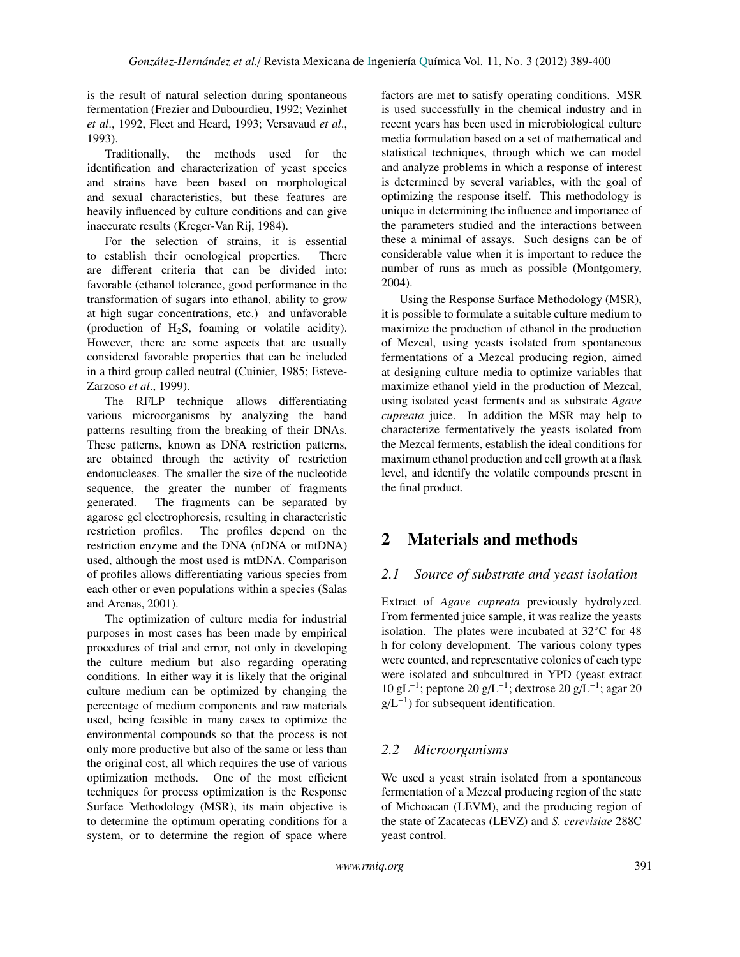is the result of natural selection during spontaneous fermentation (Frezier and Dubourdieu, 1992; Vezinhet *et al*., 1992, Fleet and Heard, 1993; Versavaud *et al*., 1993).

Traditionally, the methods used for the identification and characterization of yeast species and strains have been based on morphological and sexual characteristics, but these features are heavily influenced by culture conditions and can give inaccurate results (Kreger-Van Rij, 1984).

For the selection of strains, it is essential to establish their oenological properties. There are different criteria that can be divided into: favorable (ethanol tolerance, good performance in the transformation of sugars into ethanol, ability to grow at high sugar concentrations, etc.) and unfavorable (production of  $H_2S$ , foaming or volatile acidity). However, there are some aspects that are usually considered favorable properties that can be included in a third group called neutral (Cuinier, 1985; Esteve-Zarzoso *et al*., 1999).

The RFLP technique allows differentiating various microorganisms by analyzing the band patterns resulting from the breaking of their DNAs. These patterns, known as DNA restriction patterns, are obtained through the activity of restriction endonucleases. The smaller the size of the nucleotide sequence, the greater the number of fragments generated. The fragments can be separated by agarose gel electrophoresis, resulting in characteristic restriction profiles. The profiles depend on the restriction enzyme and the DNA (nDNA or mtDNA) used, although the most used is mtDNA. Comparison of profiles allows differentiating various species from each other or even populations within a species (Salas and Arenas, 2001).

The optimization of culture media for industrial purposes in most cases has been made by empirical procedures of trial and error, not only in developing the culture medium but also regarding operating conditions. In either way it is likely that the original culture medium can be optimized by changing the percentage of medium components and raw materials used, being feasible in many cases to optimize the environmental compounds so that the process is not only more productive but also of the same or less than the original cost, all which requires the use of various optimization methods. One of the most efficient techniques for process optimization is the Response Surface Methodology (MSR), its main objective is to determine the optimum operating conditions for a system, or to determine the region of space where factors are met to satisfy operating conditions. MSR is used successfully in the chemical industry and in recent years has been used in microbiological culture media formulation based on a set of mathematical and statistical techniques, through which we can model and analyze problems in which a response of interest is determined by several variables, with the goal of optimizing the response itself. This methodology is unique in determining the influence and importance of the parameters studied and the interactions between these a minimal of assays. Such designs can be of considerable value when it is important to reduce the number of runs as much as possible (Montgomery, 2004).

Using the Response Surface Methodology (MSR), it is possible to formulate a suitable culture medium to maximize the production of ethanol in the production of Mezcal, using yeasts isolated from spontaneous fermentations of a Mezcal producing region, aimed at designing culture media to optimize variables that maximize ethanol yield in the production of Mezcal, using isolated yeast ferments and as substrate *Agave cupreata* juice. In addition the MSR may help to characterize fermentatively the yeasts isolated from the Mezcal ferments, establish the ideal conditions for maximum ethanol production and cell growth at a flask level, and identify the volatile compounds present in the final product.

# 2 Materials and methods

# *2.1 Source of substrate and yeast isolation*

Extract of *Agave cupreata* previously hydrolyzed. From fermented juice sample, it was realize the yeasts isolation. The plates were incubated at 32◦C for 48 h for colony development. The various colony types were counted, and representative colonies of each type were isolated and subcultured in YPD (yeast extract 10 gL<sup>-1</sup>; peptone 20 g/L<sup>-1</sup>; dextrose 20 g/L<sup>-1</sup>; agar 20  $g/L^{-1}$ ) for subsequent identification.

# *2.2 Microorganisms*

We used a yeast strain isolated from a spontaneous fermentation of a Mezcal producing region of the state of Michoacan (LEVM), and the producing region of the state of Zacatecas (LEVZ) and *S. cerevisiae* 288C yeast control.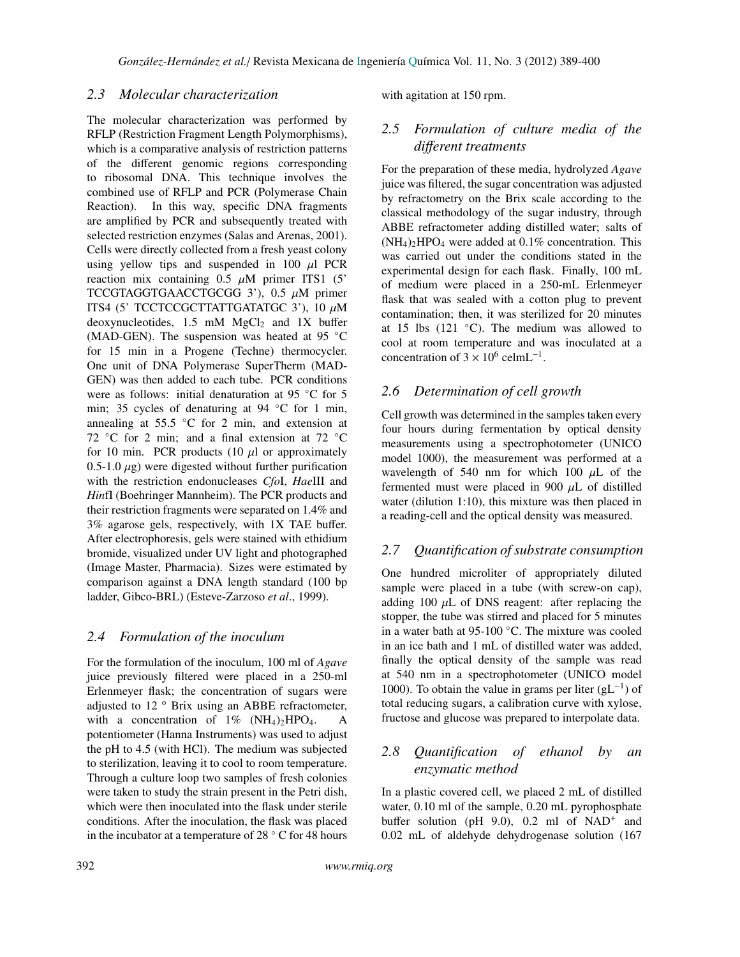### *2.3 Molecular characterization*

The molecular characterization was performed by RFLP (Restriction Fragment Length Polymorphisms), which is a comparative analysis of restriction patterns of the different genomic regions corresponding to ribosomal DNA. This technique involves the combined use of RFLP and PCR (Polymerase Chain Reaction). In this way, specific DNA fragments are amplified by PCR and subsequently treated with selected restriction enzymes (Salas and Arenas, 2001). Cells were directly collected from a fresh yeast colony using yellow tips and suspended in 100  $\mu$ l PCR reaction mix containing  $0.5 \mu M$  primer ITS1 (5) TCCGTAGGTGAACCTGCGG 3'), 0.5  $\mu$ M primer ITS4 (5' TCCTCCGCTTATTGATATGC 3'), 10 µ<sup>M</sup> deoxynucleotides,  $1.5$  mM MgCl<sub>2</sub> and 1X buffer (MAD-GEN). The suspension was heated at 95 ◦C for 15 min in a Progene (Techne) thermocycler. One unit of DNA Polymerase SuperTherm (MAD-GEN) was then added to each tube. PCR conditions were as follows: initial denaturation at 95 °C for 5 min; 35 cycles of denaturing at 94 °C for 1 min, annealing at  $55.5 \degree C$  for 2 min, and extension at 72  $\degree$ C for 2 min; and a final extension at 72  $\degree$ C for 10 min. PCR products (10  $\mu$ l or approximately 0.5-1.0  $\mu$ g) were digested without further purification with the restriction endonucleases *Cfo*I, *Hae*III and *Hin*fI (Boehringer Mannheim). The PCR products and their restriction fragments were separated on 1.4% and 3% agarose gels, respectively, with 1X TAE buffer. After electrophoresis, gels were stained with ethidium bromide, visualized under UV light and photographed (Image Master, Pharmacia). Sizes were estimated by comparison against a DNA length standard (100 bp ladder, Gibco-BRL) (Esteve-Zarzoso *et al*., 1999).

### *2.4 Formulation of the inoculum*

For the formulation of the inoculum, 100 ml of *Agave* juice previously filtered were placed in a 250-ml Erlenmeyer flask; the concentration of sugars were adjusted to  $12$   $\degree$  Brix using an ABBE refractometer, with a concentration of  $1\%$  (NH<sub>4</sub>)<sub>2</sub>HPO<sub>4</sub>. A potentiometer (Hanna Instruments) was used to adjust the pH to 4.5 (with HCl). The medium was subjected to sterilization, leaving it to cool to room temperature. Through a culture loop two samples of fresh colonies were taken to study the strain present in the Petri dish, which were then inoculated into the flask under sterile conditions. After the inoculation, the flask was placed in the incubator at a temperature of 28 ◦ C for 48 hours with agitation at 150 rpm.

# *2.5 Formulation of culture media of the di*ff*erent treatments*

For the preparation of these media, hydrolyzed *Agave* juice was filtered, the sugar concentration was adjusted by refractometry on the Brix scale according to the classical methodology of the sugar industry, through ABBE refractometer adding distilled water; salts of  $(NH_4)$ <sub>2</sub>HPO<sub>4</sub> were added at 0.1% concentration. This was carried out under the conditions stated in the experimental design for each flask. Finally, 100 mL of medium were placed in a 250-mL Erlenmeyer flask that was sealed with a cotton plug to prevent contamination; then, it was sterilized for 20 minutes at 15 lbs  $(121 \degree C)$ . The medium was allowed to cool at room temperature and was inoculated at a concentration of  $3 \times 10^6$  celmL<sup>-1</sup>.

### *2.6 Determination of cell growth*

Cell growth was determined in the samples taken every four hours during fermentation by optical density measurements using a spectrophotometer (UNICO model 1000), the measurement was performed at a wavelength of 540 nm for which 100  $\mu$ L of the fermented must were placed in 900  $\mu$ L of distilled water (dilution 1:10), this mixture was then placed in a reading-cell and the optical density was measured.

### *2.7 Quantification of substrate consumption*

One hundred microliter of appropriately diluted sample were placed in a tube (with screw-on cap), adding 100  $\mu$ L of DNS reagent: after replacing the stopper, the tube was stirred and placed for 5 minutes in a water bath at 95-100 ◦C. The mixture was cooled in an ice bath and 1 mL of distilled water was added, finally the optical density of the sample was read at 540 nm in a spectrophotometer (UNICO model 1000). To obtain the value in grams per liter  $(gL^{-1})$  of total reducing sugars, a calibration curve with xylose, fructose and glucose was prepared to interpolate data.

# *2.8 Quantification of ethanol by an enzymatic method*

In a plastic covered cell, we placed 2 mL of distilled water, 0.10 ml of the sample, 0.20 mL pyrophosphate buffer solution (pH 9.0), 0.2 ml of NAD<sup>+</sup> and 0.02 mL of aldehyde dehydrogenase solution (167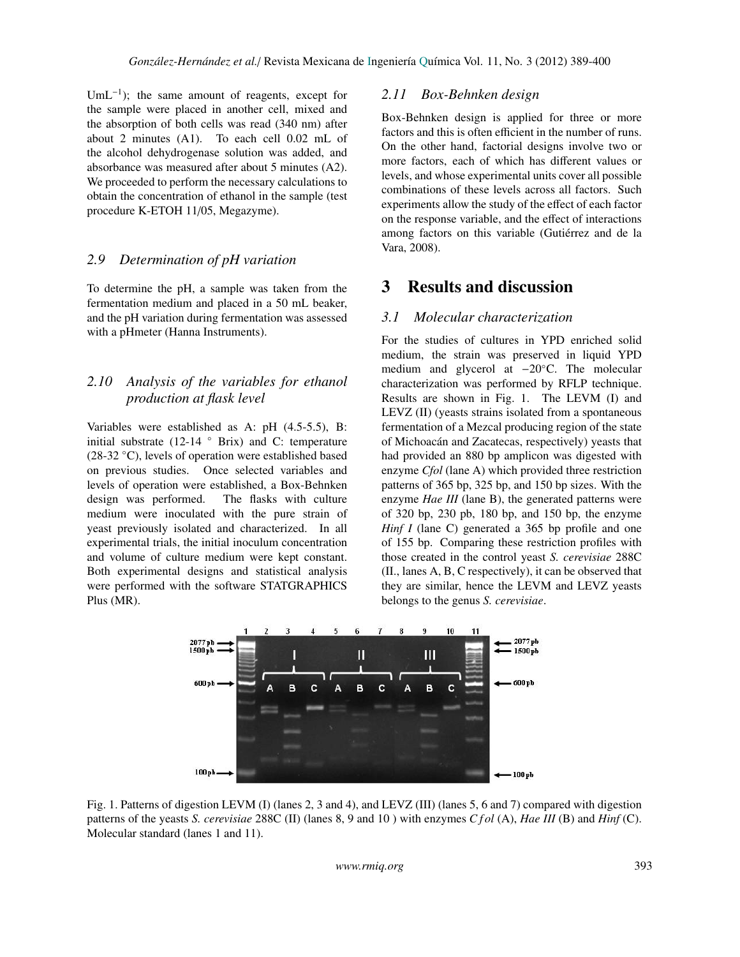UmL<sup>-1</sup>); the same amount of reagents, except for the sample were placed in another cell, mixed and the absorption of both cells was read (340 nm) after about 2 minutes (A1). To each cell 0.02 mL of the alcohol dehydrogenase solution was added, and absorbance was measured after about 5 minutes (A2). We proceeded to perform the necessary calculations to obtain the concentration of ethanol in the sample (test procedure K-ETOH 11/05, Megazyme).

### *2.9 Determination of pH variation*

To determine the pH, a sample was taken from the fermentation medium and placed in a 50 mL beaker, and the pH variation during fermentation was assessed with a pHmeter (Hanna Instruments).

# *2.10 Analysis of the variables for ethanol production at flask level*

Variables were established as A: pH (4.5-5.5), B: initial substrate (12-14  $\degree$  Brix) and C: temperature (28-32 ◦C), levels of operation were established based on previous studies. Once selected variables and levels of operation were established, a Box-Behnken design was performed. The flasks with culture medium were inoculated with the pure strain of yeast previously isolated and characterized. In all experimental trials, the initial inoculum concentration and volume of culture medium were kept constant. Both experimental designs and statistical analysis were performed with the software STATGRAPHICS Plus (MR).

### *2.11 Box-Behnken design*

Box-Behnken design is applied for three or more factors and this is often efficient in the number of runs. On the other hand, factorial designs involve two or more factors, each of which has different values or levels, and whose experimental units cover all possible combinations of these levels across all factors. Such experiments allow the study of the effect of each factor on the response variable, and the effect of interactions among factors on this variable (Gutiérrez and de la Vara, 2008).

# 3 Results and discussion

### *3.1 Molecular characterization*

For the studies of cultures in YPD enriched solid medium, the strain was preserved in liquid YPD medium and glycerol at −20◦C. The molecular characterization was performed by RFLP technique. Results are shown in Fig. 1. The LEVM (I) and LEVZ (II) (yeasts strains isolated from a spontaneous fermentation of a Mezcal producing region of the state of Michoacán and Zacatecas, respectively) yeasts that had provided an 880 bp amplicon was digested with enzyme *Cfol* (lane A) which provided three restriction patterns of 365 bp, 325 bp, and 150 bp sizes. With the enzyme *Hae III* (lane B), the generated patterns were of 320 bp, 230 pb, 180 bp, and 150 bp, the enzyme *Hinf I* (lane C) generated a 365 bp profile and one of 155 bp. Comparing these restriction profiles with those created in the control yeast *S. cerevisiae* 288C (II., lanes A, B, C respectively), it can be observed that they are similar, hence the LEVM and LEVZ yeasts belongs to the genus *S. cerevisiae*.



Fig. 1. Patterns of digestion LEVM (I) (lanes 2, 3 and 4), and LEVZ (III) (lanes 5, 6 and 7) compared with digestion patterns of the yeasts *S. cerevisiae* 288C (II) (lanes 8, 9 and 10 ) with enzymes *C f ol* (A), *Hae III* (B) and *Hinf* (C). Molecular standard (lanes 1 and 11).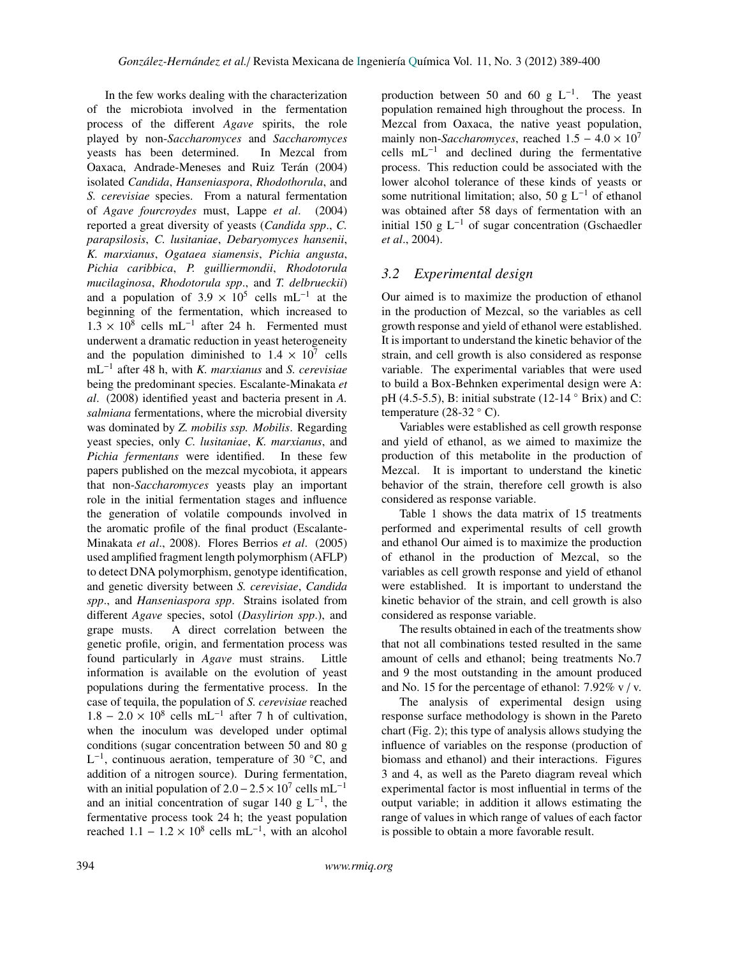In the few works dealing with the characterization of the microbiota involved in the fermentation process of the different *Agave* spirits, the role played by non-*Saccharomyces* and *Saccharomyces* yeasts has been determined. In Mezcal from Oaxaca, Andrade-Meneses and Ruiz Terán (2004) isolated *Candida*, *Hanseniaspora*, *Rhodothorula*, and *S. cerevisiae* species. From a natural fermentation of *Agave fourcroydes* must, Lappe *et al*. (2004) reported a great diversity of yeasts (*Candida spp*., *C. parapsilosis*, *C. lusitaniae*, *Debaryomyces hansenii*, *K. marxianus*, *Ogataea siamensis*, *Pichia angusta*, *Pichia caribbica*, *P. guilliermondii*, *Rhodotorula mucilaginosa*, *Rhodotorula spp*., and *T. delbrueckii*) and a population of  $3.9 \times 10^5$  cells mL<sup>-1</sup> at the beginning of the fermentation, which increased to  $1.3 \times 10^8$  cells mL<sup>-1</sup> after 24 h. Fermented must<br>underwent a dramatic reduction in year beterogeneity underwent a dramatic reduction in yeast heterogeneity and the population diminished to  $1.4 \times 10^7$  cells<br>mI<sup>-1</sup> after 48 h with K marxianus and S cerevisiae mL<sup>−</sup><sup>1</sup> after 48 h, with *K. marxianus* and *S. cerevisiae* being the predominant species. Escalante-Minakata *et al*. (2008) identified yeast and bacteria present in *A. salmiana* fermentations, where the microbial diversity was dominated by *Z. mobilis ssp. Mobilis*. Regarding yeast species, only *C. lusitaniae*, *K. marxianus*, and *Pichia fermentans* were identified. In these few papers published on the mezcal mycobiota, it appears that non-*Saccharomyces* yeasts play an important role in the initial fermentation stages and influence the generation of volatile compounds involved in the aromatic profile of the final product (Escalante-Minakata *et al*., 2008). Flores Berrios *et al*. (2005) used amplified fragment length polymorphism (AFLP) to detect DNA polymorphism, genotype identification, and genetic diversity between *S. cerevisiae*, *Candida spp*., and *Hanseniaspora spp*. Strains isolated from different *Agave* species, sotol (*Dasylirion spp*.), and grape musts. A direct correlation between the genetic profile, origin, and fermentation process was found particularly in *Agave* must strains. Little information is available on the evolution of yeast populations during the fermentative process. In the case of tequila, the population of *S. cerevisiae* reached  $1.8 - 2.0 \times 10^8$  cells mL<sup>-1</sup> after 7 h of cultivation,<br>when the inoculum was developed under optimal when the inoculum was developed under optimal conditions (sugar concentration between 50 and 80 g  $L^{-1}$ , continuous aeration, temperature of 30 °C, and addition of a nitrogen source). During fermentation, with an initial population of 2.0 –  $2.5 \times 10^7$  cells mL<sup>-1</sup><br>and an initial concentration of sugar 140 g I<sup>-1</sup> the and an initial concentration of sugar 140 g  $L^{-1}$ , the fermentative process took 24 h; the yeast population reached  $1.1 - 1.2 \times 10^8$  cells mL<sup>-1</sup>, with an alcohol

production between 50 and 60 g  $L^{-1}$ . The yeast population remained high throughout the process. In Mezcal from Oaxaca, the native yeast population, mainly non-*Saccharomyces*, reached  $1.5 - 4.0 \times 10^7$ cells  $mL^{-1}$  and declined during the fermentative process. This reduction could be associated with the lower alcohol tolerance of these kinds of yeasts or some nutritional limitation; also, 50 g  $L^{-1}$  of ethanol was obtained after 58 days of fermentation with an initial 150 g  $L^{-1}$  of sugar concentration (Gschaedler *et al*., 2004).

# *3.2 Experimental design*

Our aimed is to maximize the production of ethanol in the production of Mezcal, so the variables as cell growth response and yield of ethanol were established. It is important to understand the kinetic behavior of the strain, and cell growth is also considered as response variable. The experimental variables that were used to build a Box-Behnken experimental design were A: pH (4.5-5.5), B: initial substrate (12-14  $\degree$  Brix) and C: temperature (28-32  $\degree$  C).

Variables were established as cell growth response and yield of ethanol, as we aimed to maximize the production of this metabolite in the production of Mezcal. It is important to understand the kinetic behavior of the strain, therefore cell growth is also considered as response variable.

Table 1 shows the data matrix of 15 treatments performed and experimental results of cell growth and ethanol Our aimed is to maximize the production of ethanol in the production of Mezcal, so the variables as cell growth response and yield of ethanol were established. It is important to understand the kinetic behavior of the strain, and cell growth is also considered as response variable.

The results obtained in each of the treatments show that not all combinations tested resulted in the same amount of cells and ethanol; being treatments No.7 and 9 the most outstanding in the amount produced and No. 15 for the percentage of ethanol:  $7.92\%$  v / v.

The analysis of experimental design using response surface methodology is shown in the Pareto chart (Fig. 2); this type of analysis allows studying the influence of variables on the response (production of biomass and ethanol) and their interactions. Figures 3 and 4, as well as the Pareto diagram reveal which experimental factor is most influential in terms of the output variable; in addition it allows estimating the range of values in which range of values of each factor is possible to obtain a more favorable result.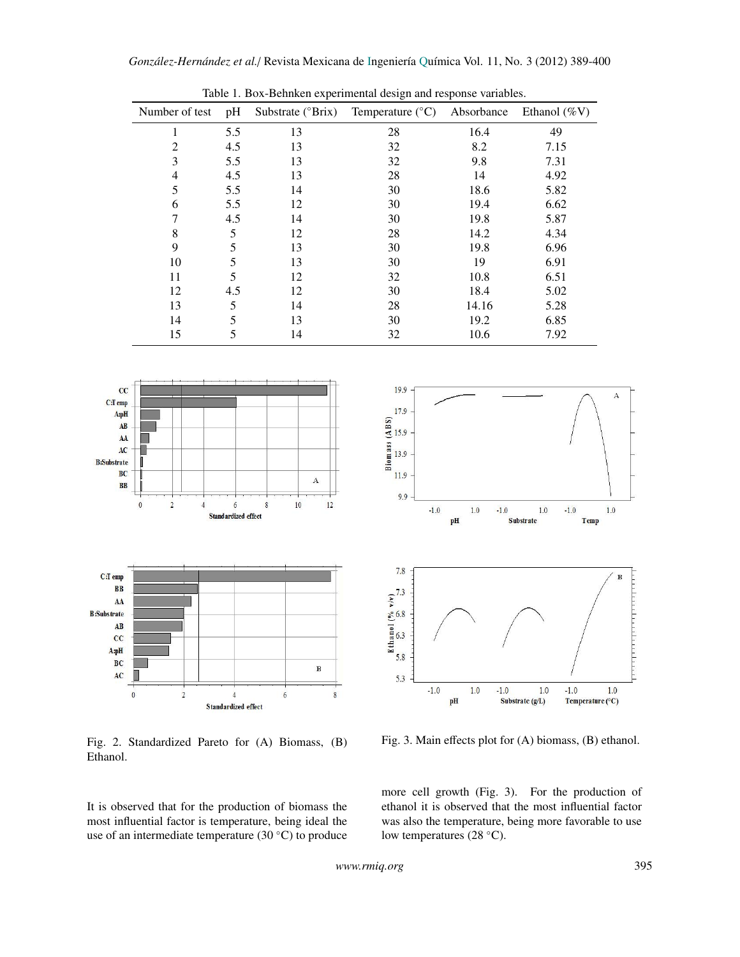| racio 1: Don Denmen experimental acorgn and response variables. |     |                            |                           |            |                 |  |  |  |  |
|-----------------------------------------------------------------|-----|----------------------------|---------------------------|------------|-----------------|--|--|--|--|
| Number of test                                                  | pH  | Substrate $(^{\circ}Brix)$ | Temperature $(^{\circ}C)$ | Absorbance | Ethanol $(\%V)$ |  |  |  |  |
|                                                                 | 5.5 | 13                         | 28                        | 16.4       | 49              |  |  |  |  |
| 2                                                               | 4.5 | 13                         | 32                        | 8.2        | 7.15            |  |  |  |  |
| 3                                                               | 5.5 | 13                         | 32                        | 9.8        | 7.31            |  |  |  |  |
| 4                                                               | 4.5 | 13                         | 28                        | 14         | 4.92            |  |  |  |  |
| 5                                                               | 5.5 | 14                         | 30                        | 18.6       | 5.82            |  |  |  |  |
| 6                                                               | 5.5 | 12                         | 30                        | 19.4       | 6.62            |  |  |  |  |
|                                                                 | 4.5 | 14                         | 30                        | 19.8       | 5.87            |  |  |  |  |
| 8                                                               | 5   | 12                         | 28                        | 14.2       | 4.34            |  |  |  |  |
| 9                                                               | 5   | 13                         | 30                        | 19.8       | 6.96            |  |  |  |  |
| 10                                                              | 5   | 13                         | 30                        | 19         | 6.91            |  |  |  |  |
| 11                                                              | 5   | 12                         | 32                        | 10.8       | 6.51            |  |  |  |  |
| 12                                                              | 4.5 | 12                         | 30                        | 18.4       | 5.02            |  |  |  |  |
| 13                                                              | 5   | 14                         | 28                        | 14.16      | 5.28            |  |  |  |  |
| 14                                                              | 5   | 13                         | 30                        | 19.2       | 6.85            |  |  |  |  |
| 15                                                              |     | 14                         | 32                        | 10.6       | 7.92            |  |  |  |  |

Table 1. Box-Behnken experimental design and response variables.



Fig. 2. Standardized Pareto for (A) Biomass, (B) Ethanol.

It is observed that for the production of biomass the most influential factor is temperature, being ideal the use of an intermediate temperature (30 ◦C) to produce



Fig. 3. Main effects plot for (A) biomass, (B) ethanol.

more cell growth (Fig. 3). For the production of ethanol it is observed that the most influential factor was also the temperature, being more favorable to use low temperatures (28 ◦C).

*www.rmiq.org* 395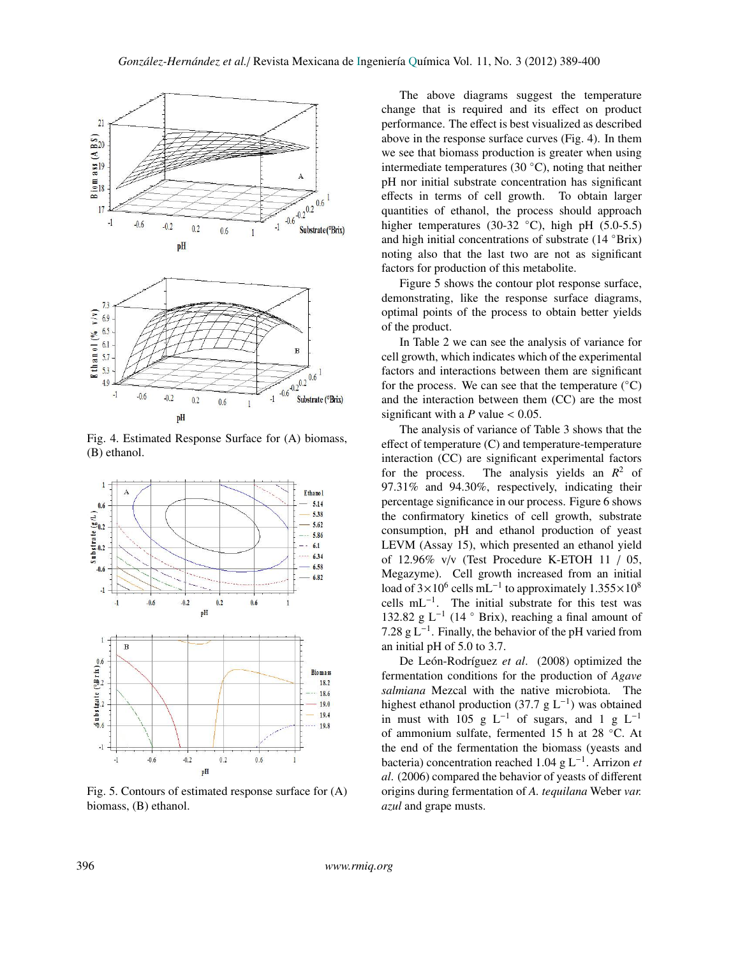

Fig. 4. Estimated Response Surface for (A) biomass, (B) ethanol.



Fig. 5. Contours of estimated response surface for (A) biomass, (B) ethanol.

The above diagrams suggest the temperature change that is required and its effect on product performance. The effect is best visualized as described above in the response surface curves (Fig. 4). In them we see that biomass production is greater when using intermediate temperatures (30 $°C$ ), noting that neither pH nor initial substrate concentration has significant effects in terms of cell growth. To obtain larger quantities of ethanol, the process should approach higher temperatures (30-32  $°C$ ), high pH (5.0-5.5) and high initial concentrations of substrate (14 ◦Brix) noting also that the last two are not as significant factors for production of this metabolite.

Figure 5 shows the contour plot response surface, demonstrating, like the response surface diagrams, optimal points of the process to obtain better yields of the product.

In Table 2 we can see the analysis of variance for cell growth, which indicates which of the experimental factors and interactions between them are significant for the process. We can see that the temperature  $(^{\circ}C)$ and the interaction between them (CC) are the most significant with a  $P$  value  $< 0.05$ .

The analysis of variance of Table 3 shows that the effect of temperature (C) and temperature-temperature interaction (CC) are significant experimental factors for the process. The analysis yields an  $R^2$  of 97.31% and 94.30%, respectively, indicating their percentage significance in our process. Figure 6 shows the confirmatory kinetics of cell growth, substrate consumption, pH and ethanol production of yeast LEVM (Assay 15), which presented an ethanol yield of 12.96% v/v (Test Procedure K-ETOH 11 / 05, Megazyme). Cell growth increased from an initial load of  $3\times10^6$  cells mL<sup>-1</sup> to approximately  $1.355\times10^8$ <br>cells mL<sup>-1</sup>. The initial substrate for this test was cells mL<sup>-1</sup>. The initial substrate for this test was 132.82 g L<sup>-1</sup> (14  $\degree$  Brix), reaching a final amount of 7.28 g  $L^{-1}$ . Finally, the behavior of the pH varied from an initial pH of 5.0 to 3.7.

De León-Rodríguez et al. (2008) optimized the fermentation conditions for the production of *Agave salmiana* Mezcal with the native microbiota. The highest ethanol production (37.7 g  $L^{-1}$ ) was obtained in must with 105 g  $L^{-1}$  of sugars, and 1 g  $L^{-1}$ of ammonium sulfate, fermented 15 h at 28 ◦C. At the end of the fermentation the biomass (yeasts and bacteria) concentration reached 1.04 g L<sup>−</sup><sup>1</sup> . Arrizon *et al*. (2006) compared the behavior of yeasts of different origins during fermentation of *A. tequilana* Weber *var. azul* and grape musts.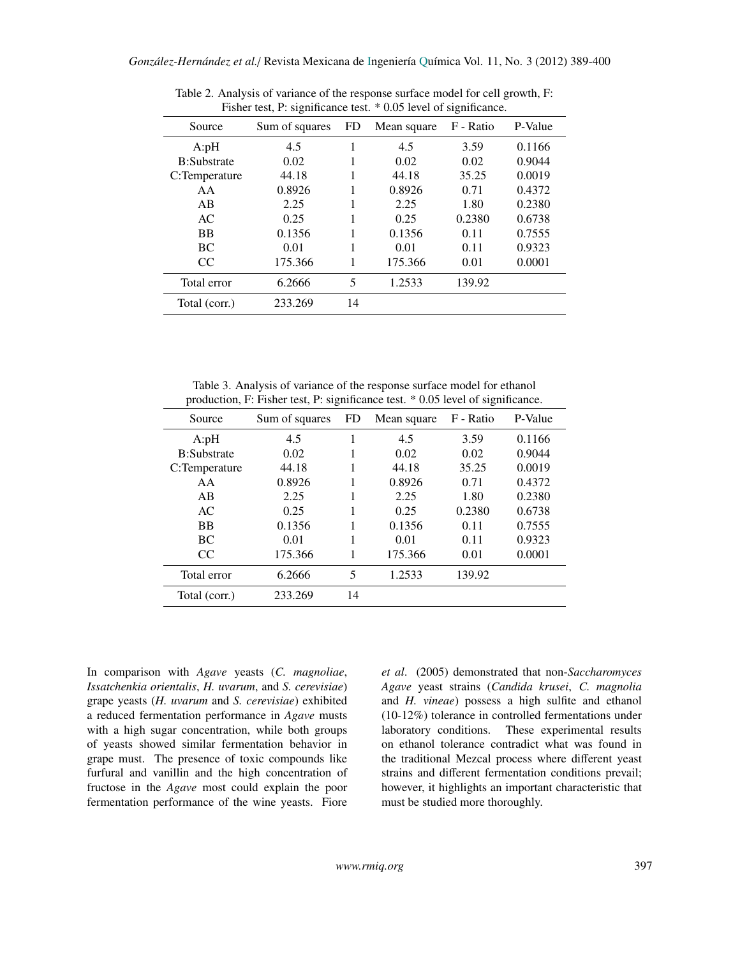| Fisher test, P: significance test. $\gamma$ 0.05 level of significance. |                |     |             |           |         |  |  |  |
|-------------------------------------------------------------------------|----------------|-----|-------------|-----------|---------|--|--|--|
| Source                                                                  | Sum of squares | FD. | Mean square | F - Ratio | P-Value |  |  |  |
| A: pH                                                                   | 4.5            |     | 4.5         | 3.59      | 0.1166  |  |  |  |
| <b>B:Substrate</b>                                                      | 0.02           |     | 0.02        | 0.02      | 0.9044  |  |  |  |
| C:Temperature                                                           | 44.18          |     | 44.18       | 35.25     | 0.0019  |  |  |  |
| AA                                                                      | 0.8926         |     | 0.8926      | 0.71      | 0.4372  |  |  |  |
| AB                                                                      | 2.25           |     | 2.25        | 1.80      | 0.2380  |  |  |  |
| AC                                                                      | 0.25           | 1   | 0.25        | 0.2380    | 0.6738  |  |  |  |
| BB                                                                      | 0.1356         |     | 0.1356      | 0.11      | 0.7555  |  |  |  |
| BC                                                                      | 0.01           |     | 0.01        | 0.11      | 0.9323  |  |  |  |
| CC                                                                      | 175.366        |     | 175.366     | 0.01      | 0.0001  |  |  |  |
| Total error                                                             | 6.2666         | 5   | 1.2533      | 139.92    |         |  |  |  |
| Total (corr.)                                                           | 233.269        | 14  |             |           |         |  |  |  |

Table 2. Analysis of variance of the response surface model for cell growth, F:<br>
Fisher test. Busing forms test.  $*0.05$  kind of simple such as a set of the set of simple such as a set of simple such as a set of simple su  $\triangle$  0.05 level of significance.

Table 3. Analysis of variance of the response surface model for ethanol production, F: Fisher test, P: significance test. \* 0.05 level of significance.

| Source             | Sum of squares | FD | Mean square | F - Ratio | P-Value |
|--------------------|----------------|----|-------------|-----------|---------|
| A: pH              | 4.5            | 1  | 4.5         | 3.59      | 0.1166  |
| <b>B:Substrate</b> | 0.02           |    | 0.02        | 0.02      | 0.9044  |
| C:Temperature      | 44.18          |    | 44.18       | 35.25     | 0.0019  |
| AA                 | 0.8926         |    | 0.8926      | 0.71      | 0.4372  |
| AB                 | 2.25           |    | 2.25        | 1.80      | 0.2380  |
| AC.                | 0.25           |    | 0.25        | 0.2380    | 0.6738  |
| <b>BB</b>          | 0.1356         |    | 0.1356      | 0.11      | 0.7555  |
| <b>BC</b>          | 0.01           |    | 0.01        | 0.11      | 0.9323  |
| CC                 | 175.366        |    | 175.366     | 0.01      | 0.0001  |
| Total error        | 6.2666         | 5  | 1.2533      | 139.92    |         |
| Total (corr.)      | 233.269        | 14 |             |           |         |

In comparison with *Agave* yeasts (*C. magnoliae*, *Issatchenkia orientalis*, *H. uvarum*, and *S. cerevisiae*) grape yeasts (*H. uvarum* and *S. cerevisiae*) exhibited a reduced fermentation performance in *Agave* musts with a high sugar concentration, while both groups of yeasts showed similar fermentation behavior in grape must. The presence of toxic compounds like furfural and vanillin and the high concentration of fructose in the *Agave* most could explain the poor fermentation performance of the wine yeasts. Fiore

*et al*. (2005) demonstrated that non-*Saccharomyces Agave* yeast strains (*Candida krusei*, *C. magnolia* and *H. vineae*) possess a high sulfite and ethanol (10-12%) tolerance in controlled fermentations under laboratory conditions. These experimental results on ethanol tolerance contradict what was found in the traditional Mezcal process where different yeast strains and different fermentation conditions prevail; however, it highlights an important characteristic that must be studied more thoroughly.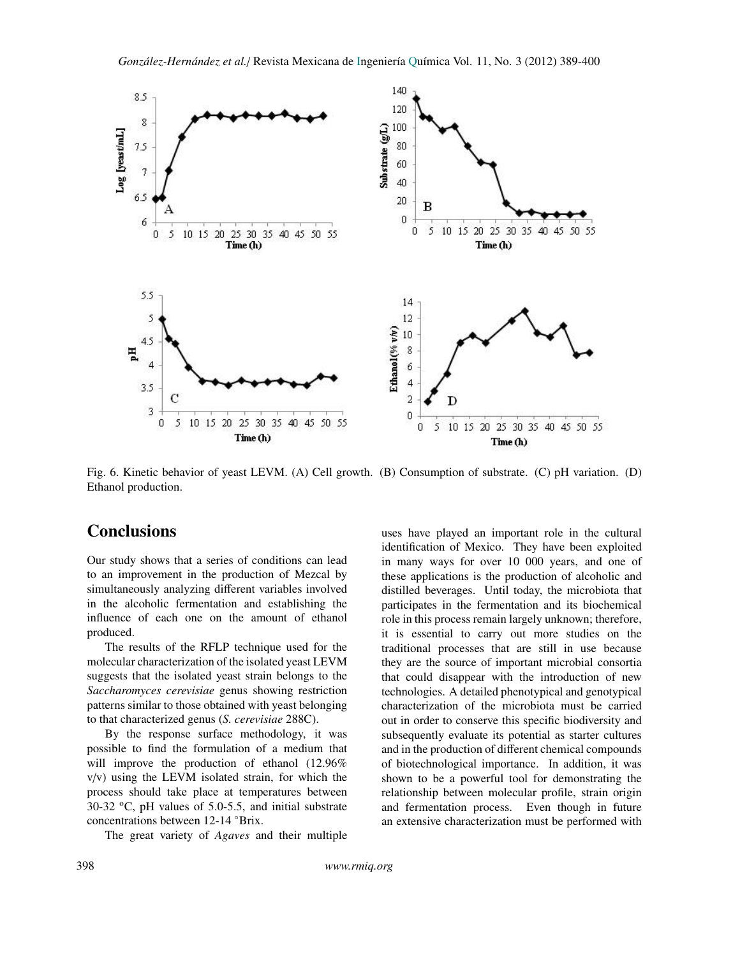

Fig. 6. Kinetic behavior of yeast LEVM. (A) Cell growth. (B) Consumption of substrate. (C) pH variation. (D) Ethanol production.

# **Conclusions**

Our study shows that a series of conditions can lead to an improvement in the production of Mezcal by simultaneously analyzing different variables involved in the alcoholic fermentation and establishing the influence of each one on the amount of ethanol produced.

The results of the RFLP technique used for the molecular characterization of the isolated yeast LEVM suggests that the isolated yeast strain belongs to the *Saccharomyces cerevisiae* genus showing restriction patterns similar to those obtained with yeast belonging to that characterized genus (*S. cerevisiae* 288C).

By the response surface methodology, it was possible to find the formulation of a medium that will improve the production of ethanol (12.96% v/v) using the LEVM isolated strain, for which the process should take place at temperatures between  $30-32$  °C, pH values of 5.0-5.5, and initial substrate concentrations between 12-14 ◦Brix.

The great variety of *Agaves* and their multiple

uses have played an important role in the cultural identification of Mexico. They have been exploited in many ways for over 10 000 years, and one of these applications is the production of alcoholic and distilled beverages. Until today, the microbiota that participates in the fermentation and its biochemical role in this process remain largely unknown; therefore, it is essential to carry out more studies on the traditional processes that are still in use because they are the source of important microbial consortia that could disappear with the introduction of new technologies. A detailed phenotypical and genotypical characterization of the microbiota must be carried out in order to conserve this specific biodiversity and subsequently evaluate its potential as starter cultures and in the production of different chemical compounds of biotechnological importance. In addition, it was shown to be a powerful tool for demonstrating the relationship between molecular profile, strain origin and fermentation process. Even though in future an extensive characterization must be performed with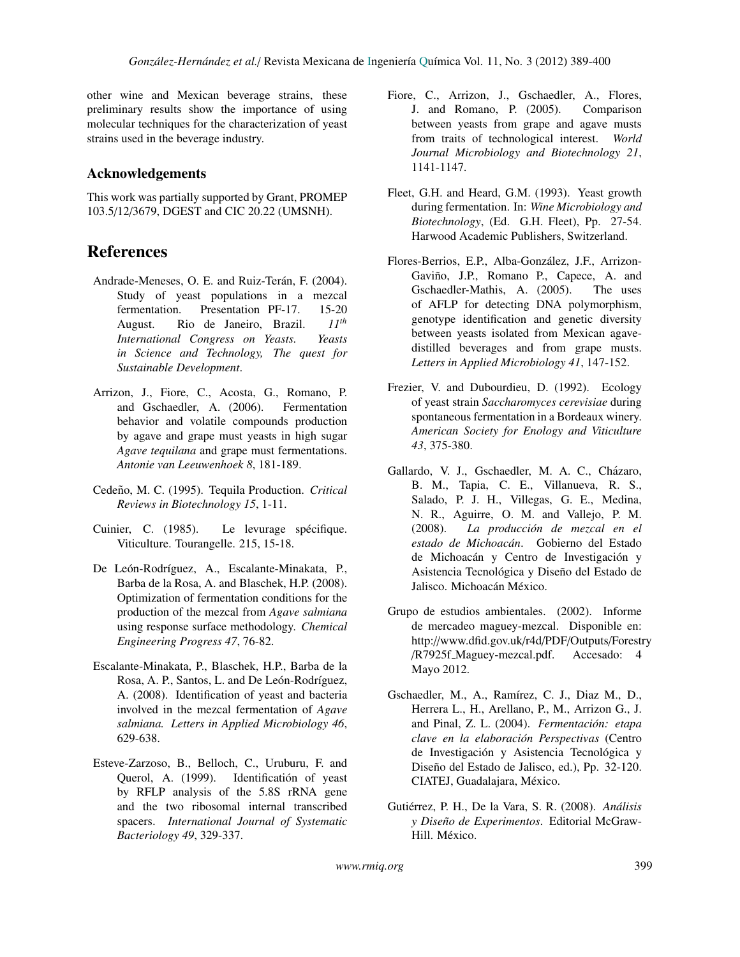other wine and Mexican beverage strains, these preliminary results show the importance of using molecular techniques for the characterization of yeast strains used in the beverage industry.

# Acknowledgements

This work was partially supported by Grant, PROMEP 103.5/12/3679, DGEST and CIC 20.22 (UMSNH).

# References

- Andrade-Meneses, O. E. and Ruiz-Terán, F. (2004). Study of yeast populations in a mezcal fermentation. Presentation PF-17. 15-20 August. Rio de Janeiro, Brazil. *11th International Congress on Yeasts. Yeasts in Science and Technology, The quest for Sustainable Development*.
- Arrizon, J., Fiore, C., Acosta, G., Romano, P. and Gschaedler, A. (2006). Fermentation behavior and volatile compounds production by agave and grape must yeasts in high sugar *Agave tequilana* and grape must fermentations. *Antonie van Leeuwenhoek 8*, 181-189.
- Cedeño, M. C. (1995). Tequila Production. Critical *Reviews in Biotechnology 15*, 1-11.
- Cuinier, C. (1985). Le levurage spécifique. Viticulture. Tourangelle. 215, 15-18.
- De León-Rodríguez, A., Escalante-Minakata, P., Barba de la Rosa, A. and Blaschek, H.P. (2008). Optimization of fermentation conditions for the production of the mezcal from *Agave salmiana* using response surface methodology. *Chemical Engineering Progress 47*, 76-82.
- Escalante-Minakata, P., Blaschek, H.P., Barba de la Rosa, A. P., Santos, L. and De León-Rodríguez, A. (2008). Identification of yeast and bacteria involved in the mezcal fermentation of *Agave salmiana. Letters in Applied Microbiology 46*, 629-638.
- Esteve-Zarzoso, B., Belloch, C., Uruburu, F. and Querol, A. (1999). Identificatión of yeast by RFLP analysis of the 5.8S rRNA gene and the two ribosomal internal transcribed spacers. *International Journal of Systematic Bacteriology 49*, 329-337.
- Fiore, C., Arrizon, J., Gschaedler, A., Flores, J. and Romano, P. (2005). Comparison between yeasts from grape and agave musts from traits of technological interest. *World Journal Microbiology and Biotechnology 21*, 1141-1147.
- Fleet, G.H. and Heard, G.M. (1993). Yeast growth during fermentation. In: *Wine Microbiology and Biotechnology*, (Ed. G.H. Fleet), Pp. 27-54. Harwood Academic Publishers, Switzerland.
- Flores-Berrios, E.P., Alba-Gonzalez, J.F., Arrizon- ´ Gaviño, J.P., Romano P., Capece, A. and Gschaedler-Mathis, A. (2005). The uses of AFLP for detecting DNA polymorphism, genotype identification and genetic diversity between yeasts isolated from Mexican agavedistilled beverages and from grape musts. *Letters in Applied Microbiology 41*, 147-152.
- Frezier, V. and Dubourdieu, D. (1992). Ecology of yeast strain *Saccharomyces cerevisiae* during spontaneous fermentation in a Bordeaux winery. *American Society for Enology and Viticulture 43*, 375-380.
- Gallardo, V. J., Gschaedler, M. A. C., Cházaro, B. M., Tapia, C. E., Villanueva, R. S., Salado, P. J. H., Villegas, G. E., Medina, N. R., Aguirre, O. M. and Vallejo, P. M. (2008). *La producci´on de mezcal en el* estado de Michoacán. Gobierno del Estado de Michoacán y Centro de Investigación y Asistencia Tecnológica y Diseño del Estado de Jalisco. Michoacán México.
- Grupo de estudios ambientales. (2002). Informe de mercadeo maguey-mezcal. Disponible en: http://www.dfid.gov.uk/r4d/PDF/Outputs/Forestry /R7925f Maguey-mezcal.pdf. Accesado: 4 Mayo 2012.
- Gschaedler, M., A., Ramírez, C. J., Diaz M., D., Herrera L., H., Arellano, P., M., Arrizon G., J. and Pinal, Z. L. (2004). *Fermentación: etapa clave en la elaboración Perspectivas* (Centro de Investigación y Asistencia Tecnológica y Diseño del Estado de Jalisco, ed.), Pp. 32-120. CIATEJ, Guadalajara, México.
- Gutiérrez, P. H., De la Vara, S. R. (2008). Análisis *y Dise ˜no de Experimentos*. Editorial McGraw-Hill. México.